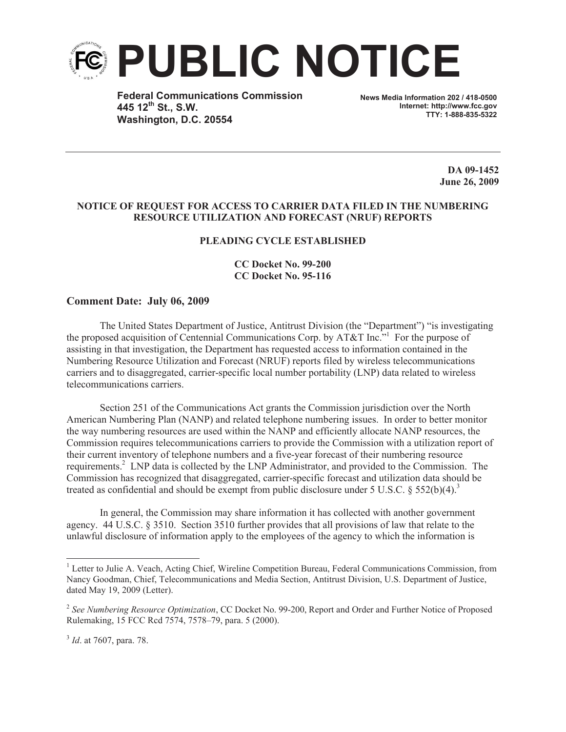

**Federal Communications Commission 445 12th St., S.W. Washington, D.C. 20554**

**News Media Information 202 / 418-0500 Internet: http://www.fcc.gov TTY: 1-888-835-5322**

> **DA 09-1452 June 26, 2009**

## **NOTICE OF REQUEST FOR ACCESS TO CARRIER DATA FILED IN THE NUMBERING RESOURCE UTILIZATION AND FORECAST (NRUF) REPORTS**

## **PLEADING CYCLE ESTABLISHED**

## **CC Docket No. 99-200 CC Docket No. 95-116**

## **Comment Date: July 06, 2009**

The United States Department of Justice, Antitrust Division (the "Department") "is investigating the proposed acquisition of Centennial Communications Corp. by AT&T Inc." For the purpose of assisting in that investigation, the Department has requested access to information contained in the Numbering Resource Utilization and Forecast (NRUF) reports filed by wireless telecommunications carriers and to disaggregated, carrier-specific local number portability (LNP) data related to wireless telecommunications carriers.

Section 251 of the Communications Act grants the Commission jurisdiction over the North American Numbering Plan (NANP) and related telephone numbering issues. In order to better monitor the way numbering resources are used within the NANP and efficiently allocate NANP resources, the Commission requires telecommunications carriers to provide the Commission with a utilization report of their current inventory of telephone numbers and a five-year forecast of their numbering resource requirements.<sup>2</sup> LNP data is collected by the LNP Administrator, and provided to the Commission. The Commission has recognized that disaggregated, carrier-specific forecast and utilization data should be treated as confidential and should be exempt from public disclosure under 5 U.S.C.  $\S 552(b)(4).$ <sup>3</sup>

In general, the Commission may share information it has collected with another government agency. 44 U.S.C. § 3510. Section 3510 further provides that all provisions of law that relate to the unlawful disclosure of information apply to the employees of the agency to which the information is

<sup>&</sup>lt;sup>1</sup> Letter to Julie A. Veach, Acting Chief, Wireline Competition Bureau, Federal Communications Commission, from Nancy Goodman, Chief, Telecommunications and Media Section, Antitrust Division, U.S. Department of Justice, dated May 19, 2009 (Letter).

<sup>2</sup> *See Numbering Resource Optimization*, CC Docket No. 99-200, Report and Order and Further Notice of Proposed Rulemaking, 15 FCC Rcd 7574, 7578–79, para. 5 (2000).

<sup>3</sup> *Id*. at 7607, para. 78.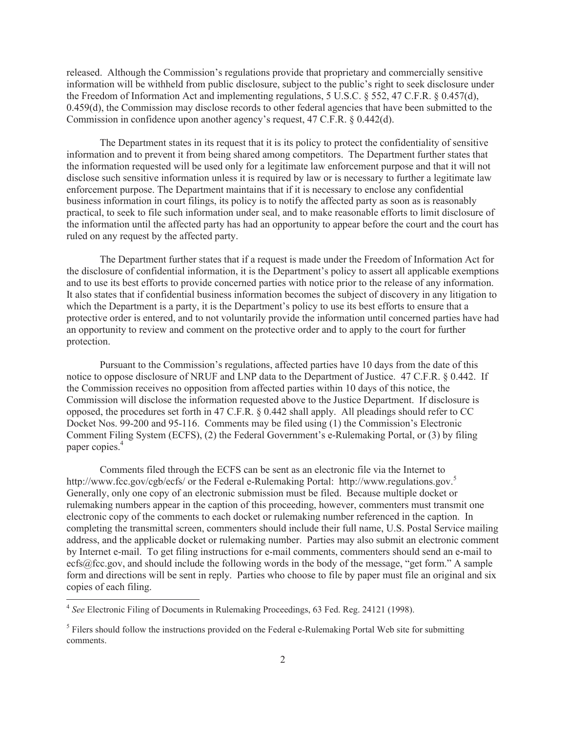released. Although the Commission's regulations provide that proprietary and commercially sensitive information will be withheld from public disclosure, subject to the public's right to seek disclosure under the Freedom of Information Act and implementing regulations, 5 U.S.C. § 552, 47 C.F.R. § 0.457(d), 0.459(d), the Commission may disclose records to other federal agencies that have been submitted to the Commission in confidence upon another agency's request, 47 C.F.R. § 0.442(d).

The Department states in its request that it is its policy to protect the confidentiality of sensitive information and to prevent it from being shared among competitors. The Department further states that the information requested will be used only for a legitimate law enforcement purpose and that it will not disclose such sensitive information unless it is required by law or is necessary to further a legitimate law enforcement purpose. The Department maintains that if it is necessary to enclose any confidential business information in court filings, its policy is to notify the affected party as soon as is reasonably practical, to seek to file such information under seal, and to make reasonable efforts to limit disclosure of the information until the affected party has had an opportunity to appear before the court and the court has ruled on any request by the affected party.

The Department further states that if a request is made under the Freedom of Information Act for the disclosure of confidential information, it is the Department's policy to assert all applicable exemptions and to use its best efforts to provide concerned parties with notice prior to the release of any information. It also states that if confidential business information becomes the subject of discovery in any litigation to which the Department is a party, it is the Department's policy to use its best efforts to ensure that a protective order is entered, and to not voluntarily provide the information until concerned parties have had an opportunity to review and comment on the protective order and to apply to the court for further protection.

Pursuant to the Commission's regulations, affected parties have 10 days from the date of this notice to oppose disclosure of NRUF and LNP data to the Department of Justice. 47 C.F.R. § 0.442. If the Commission receives no opposition from affected parties within 10 days of this notice, the Commission will disclose the information requested above to the Justice Department. If disclosure is opposed, the procedures set forth in 47 C.F.R. § 0.442 shall apply. All pleadings should refer to CC Docket Nos. 99-200 and 95-116. Comments may be filed using (1) the Commission's Electronic Comment Filing System (ECFS), (2) the Federal Government's e-Rulemaking Portal, or (3) by filing paper copies.<sup>4</sup>

Comments filed through the ECFS can be sent as an electronic file via the Internet to http://www.fcc.gov/cgb/ecfs/ or the Federal e-Rulemaking Portal: http://www.regulations.gov.<sup>5</sup> Generally, only one copy of an electronic submission must be filed. Because multiple docket or rulemaking numbers appear in the caption of this proceeding, however, commenters must transmit one electronic copy of the comments to each docket or rulemaking number referenced in the caption. In completing the transmittal screen, commenters should include their full name, U.S. Postal Service mailing address, and the applicable docket or rulemaking number. Parties may also submit an electronic comment by Internet e-mail. To get filing instructions for e-mail comments, commenters should send an e-mail to ecfs@fcc.gov, and should include the following words in the body of the message, "get form." A sample form and directions will be sent in reply. Parties who choose to file by paper must file an original and six copies of each filing.

<sup>4</sup> *See* Electronic Filing of Documents in Rulemaking Proceedings, 63 Fed. Reg. 24121 (1998).

<sup>&</sup>lt;sup>5</sup> Filers should follow the instructions provided on the Federal e-Rulemaking Portal Web site for submitting comments.